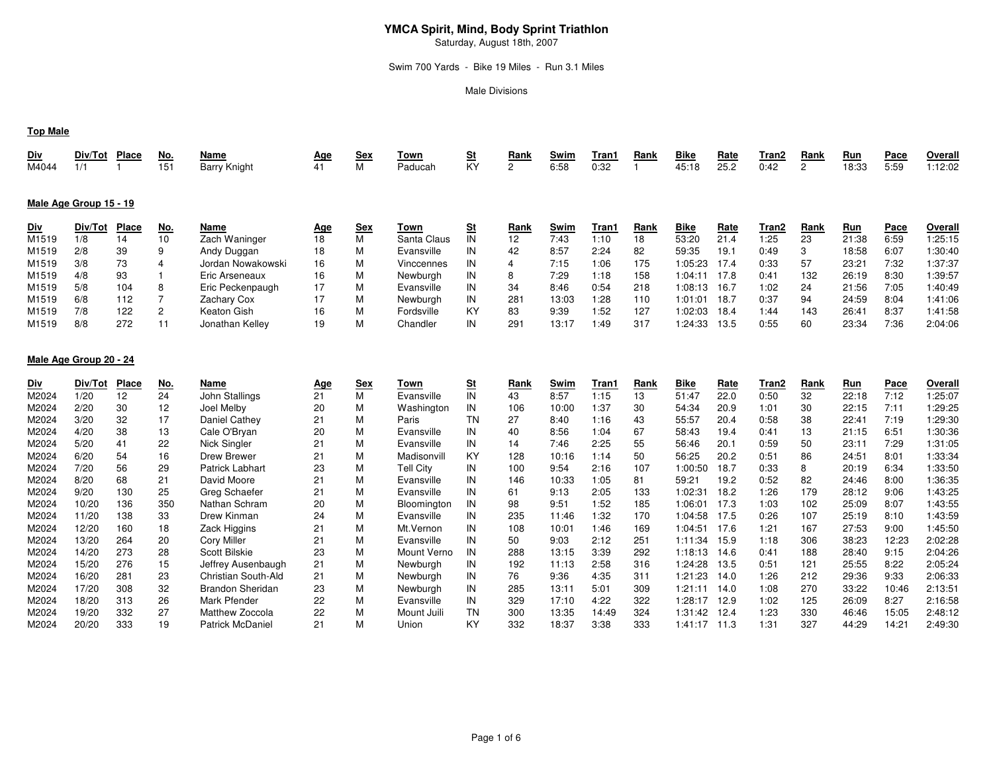# **YMCA Spirit, Mind, Body Sprint Triathlon**

Saturday, August 18th, 2007

## Swim 700 Yards - Bike 19 Miles - Run 3.1 Miles

Male Divisions

## **Top Male**

| <u>Div</u><br>M4044    | Div/Tot<br>1/1 | Place        | <u>No.</u><br>151 | Name<br><b>Barry Knight</b> | <u>Age</u><br>41 | Sex<br>М   | Town<br>Paducah | <u>St</u><br><b>KY</b> | Rank<br>2   | Swim<br>6:58 | <u>Tran1</u><br>0:32 | Rank        | <b>Bike</b><br>45:18 | <b>Rate</b><br>25.2 | Tran2<br>0:42 | Rank<br>2   | <u>Run</u><br>18:33 | Pace<br>5:59 | Overall<br>1:12:02 |
|------------------------|----------------|--------------|-------------------|-----------------------------|------------------|------------|-----------------|------------------------|-------------|--------------|----------------------|-------------|----------------------|---------------------|---------------|-------------|---------------------|--------------|--------------------|
| Male Age Group 15 - 19 |                |              |                   |                             |                  |            |                 |                        |             |              |                      |             |                      |                     |               |             |                     |              |                    |
| <u>Div</u>             | Div/Tot        | <b>Place</b> | <u>No.</u>        | Name                        | <u>Age</u>       | <u>Sex</u> | <u>Town</u>     | <u>St</u>              | <u>Rank</u> | <u>Swim</u>  | <u>Tran1</u>         | <u>Rank</u> | <u>Bike</u>          | <u>Rate</u>         | <u>Tran2</u>  | <u>Rank</u> | <u>Run</u>          | <u>Pace</u>  | Overall            |
| M1519                  | 1/8            | 14           | 10                | Zach Waninger               | 18               | м          | Santa Claus     | IN                     | 12          | 7:43         | 1:10                 | 18          | 53:20                | 21.4                | 1:25          | 23          | 21:38               | 6:59         | 1:25:15            |
| M1519                  | 2/8            | 39           | 9                 | Andy Duggan                 | 18               | M          | Evansville      | ΙN                     | 42          | 8:57         | 2:24                 | 82          | 59:35                | 19.1                | 0:49          | 3           | 18:58               | 6:07         | 1:30:40            |
| M1519                  | 3/8            | 73           |                   | Jordan Nowakowski           | 16               | м          | Vinccennes      | ΙN                     | 4           | 7:15         | 1:06                 | 175         | 1:05:23              | 17.4                | 0:33          | 57          | 23:21               | 7:32         | 1:37:37            |
| M1519                  | 4/8            | 93           |                   | Eric Arseneaux              | 16               | м          | Newburgh        | IN                     | 8           | 7:29         | 1:18                 | 158         | 1:04:11              | 17.8                | 0:41          | 132         | 26:19               | 8:30         | 1:39:57            |
| M1519                  | 5/8            | 104          | 8                 | Eric Peckenpaugh            | 17               | м          | Evansville      | IN                     | 34          | 8:46         | 0:54                 | 218         | 1:08:13              | 16.7                | 1:02          | 24          | 21:56               | 7:05         | 1:40:49            |
| M1519                  | 6/8            | 112          |                   | Zachary Cox                 | 17               | M          | Newburgh        | IN                     | 281         | 13:03        | 1:28                 | 110         | 1:01:01              | 18.7                | 0:37          | 94          | 24:59               | 8:04         | 1:41:06            |
| M1519                  | 7/8            | 122          |                   | Keaton Gish                 | 16               | м          | Fordsville      | KY                     | 83          | 9:39         | 1:52                 | 127         | 1:02:03              | 18.4                | 1:44          | 143         | 26:41               | 8:37         | 1:41:58            |
| M1519                  | 8/8            | 272          | 11                | Jonathan Kelley             | 19               | м          | Chandler        | IN                     | 291         | 13:17        | :49                  | 317         | 1:24:33              | 13.5                | 0:55          | 60          | 23:34               | 7:36         | 2:04:06            |

### **Male Age Group 20 - 24**

| <u>Div</u> | Div/Tot | Place | <u>No.</u> | Name                | <u>Age</u> | Sex | Town        | <u>St</u> | Rank | Swim  | Tran1 | Rank | Bike    | <b>Rate</b> | Tran2 | Rank | <u>Run</u> | Pace  | Overall |
|------------|---------|-------|------------|---------------------|------------|-----|-------------|-----------|------|-------|-------|------|---------|-------------|-------|------|------------|-------|---------|
| M2024      | 1/20    | 12.   | 24         | John Stallings      | 21         | м   | Evansville  |           | 43   | 8:57  | 1:15  | 13   | 51:47   | 22.0        | 0:50  | 32   | 22:18      | 7:12  | 1:25:07 |
| M2024      | 2/20    | 30    | 12         | Joel Melby          | 20         | м   | Washington  | IN        | 106  | 10:00 | 1:37  | 30   | 54:34   | 20.9        | 1:01  | 30   | 22:15      | 7:11  | 1:29:25 |
| M2024      | 3/20    | 32    | 17         | Daniel Cathey       | 21         | м   | Paris       | TΝ        | 27   | 8:40  | 1:16  | 43   | 55:57   | 20.4        | 0:58  | 38   | 22:41      | 7:19  | :29:30  |
| M2024      | 4/20    | 38    | 13         | Cale O'Bryan        | 20         | м   | Evansville  | IN        | 40   | 8:56  | 1:04  | 67   | 58:43   | 19.4        | 0:41  | 13   | 21:15      | 6:51  | 1:30:36 |
| M2024      | 5/20    | 41    | 22         | Nick Singler        | 21         | м   | Evansville  | IN        | 14   | 7:46  | 2:25  | 55   | 56:46   | 20.1        | 0:59  | 50   | 23:11      | 7:29  | 1:31:05 |
| M2024      | 6/20    | 54    | 16         | Drew Brewer         | 21         |     | Madisonvill | KY        | 128  | 10:16 | 1:14  | 50   | 56:25   | 20.2        | 0:51  | 86   | 24:51      | 8:01  | 1:33:34 |
| M2024      | 7/20    | 56    | 29         | Patrick Labhart     | 23         | м   | Tell City   | IN        | 100  | 9:54  | 2:16  | 107  | 1:00:50 | 18.7        | 0:33  | 8    | 20:19      | 6:34  | 1:33:50 |
| M2024      | 8/20    | 68    | 21         | David Moore         | 21         | м   | Evansville  | IN        | 146  | 10:33 | 1:05  | 81   | 59:21   | 19.2        | 0:52  | 82   | 24:46      | 8:00  | 1:36:35 |
| M2024      | 9/20    | 130   | 25         | Greg Schaefer       | 21         | м   | Evansville  | ΙN        | 61   | 9:13  | 2:05  | 133  | 1:02:31 | 18.2        | 1:26  | 179  | 28:12      | 9:06  | 1:43:25 |
| M2024      | 10/20   | 136   | 350        | Nathan Schram       | 20         | М   | Bloomington | IN        | 98   | 9:51  | 1:52  | 185  | 1:06:01 | 17.3        | 1:03  | 102  | 25:09      | 8:07  | 1:43:55 |
| M2024      | 11/20   | 138   | 33         | Drew Kinman         | 24         | м   | Evansville  | ΙN        | 235  | 11:46 | 1:32  | 170  | 1:04:58 | 17.5        | 0:26  | 107  | 25:19      | 8:10  | :43:59  |
| M2024      | 12/20   | 160   | 18         | Zack Higgins        | 21         | м   | Mt.Vernon   | IN        | 108  | 10:01 | 1:46  | 169  | 1:04:51 | 17.6        | 1:21  | 167  | 27:53      | 9:00  | 1:45:50 |
| M2024      | 13/20   | 264   | 20         | Corv Miller         | 21         | м   | Evansville  | IN        | 50   | 9:03  | 2:12  | 251  | 1:11:34 | 15.9        | 1:18  | 306  | 38:23      | 12:23 | 2:02:28 |
| M2024      | 14/20   | 273   | 28         | Scott Bilskie       | 23         | м   | Mount Verno | IN        | 288  | 13:15 | 3:39  | 292  | 1:18:13 | 14.6        | 0:41  | 188  | 28:40      | 9:15  | 2:04:26 |
| M2024      | 15/20   | 276   | 15         | Jeffrey Ausenbaugh  | 21         | м   | Newburgh    | IN        | 192  | 11:13 | 2:58  | 316  | 1:24:28 | 13.5        | 0:51  | 121  | 25:55      | 8:22  | 2:05:24 |
| M2024      | 16/20   | 281   | 23         | Christian South-Ald | 21         | м   | Newburgh    | IN        | 76   | 9:36  | 4:35  | 311  | 1:21:23 | 14.0        | 1:26  | 212  | 29:36      | 9:33  | 2:06:33 |
| M2024      | 17/20   | 308   | 32         | Brandon Sheridan    | 23         | м   | Newburgh    | IN        | 285  | 13:11 | 5:01  | 309  | 1:21:11 | 14.0        | 1:08  | 270  | 33:22      | 10:46 | 2:13:51 |
| M2024      | 18/20   | 313   | 26         | Mark Pfender        | 22         | м   | Evansville  | IN        | 329  | 17:10 | 4:22  | 322  | 1:28:17 | 12.9        | 1:02  | 125  | 26:09      | 8:27  | 2:16:58 |
| M2024      | 19/20   | 332   | 27         | Matthew Zoccola     | 22         | м   | Mount Juili | ΤN        | 300  | 13:35 | 14:49 | 324  | 1:31:42 | 12.4        | 1:23  | 330  | 46:46      | 15:05 | 2:48:12 |
| M2024      | 20/20   | 333   | 19         | Patrick McDaniel    | 21         | м   | Union       | KY        | 332  | 18:37 | 3:38  | 333  | 1:41:17 | 11.3        | 1:31  | 327  | 44:29      | 14:21 | 2:49:30 |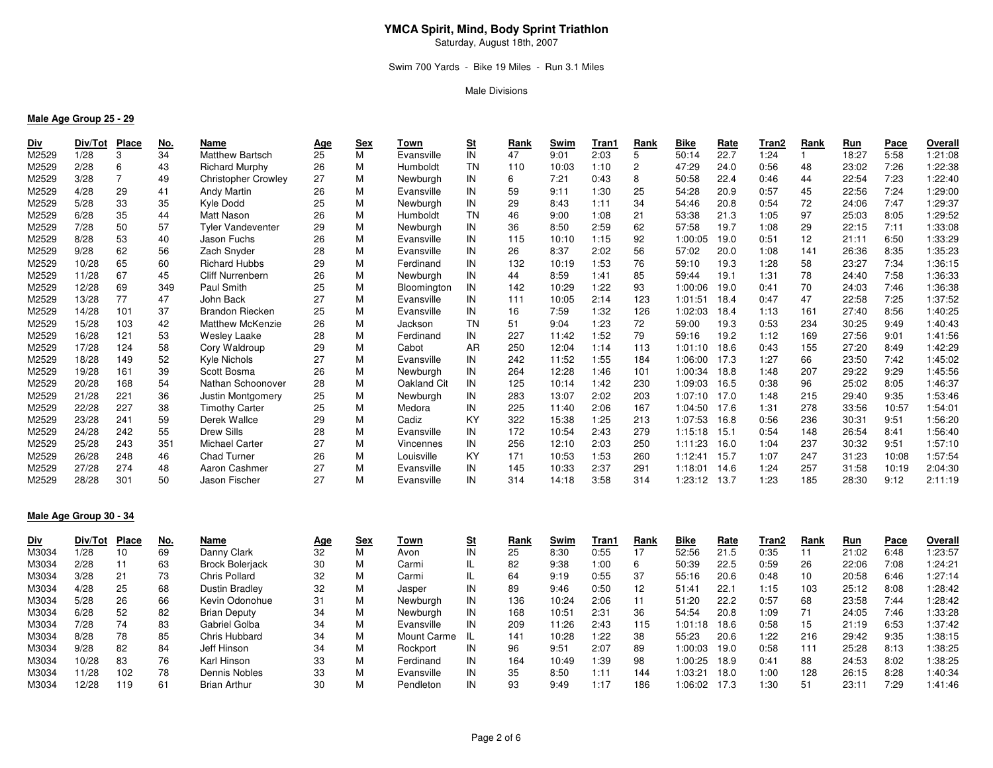# **YMCA Spirit, Mind, Body Sprint Triathlon**

Saturday, August 18th, 2007

### Swim 700 Yards - Bike 19 Miles - Run 3.1 Miles

Male Divisions

## **Male Age Group 25 - 29**

| <u>Div</u> | Div/Tot | Place | <u>No.</u> | Name                       | <u>Age</u> | Sex | Town        | <u>St</u> | Rank | Swim  | Tran1 | Rank | Bike    | Rate | Tran2 | Rank | Run   | Pace  | Overall |
|------------|---------|-------|------------|----------------------------|------------|-----|-------------|-----------|------|-------|-------|------|---------|------|-------|------|-------|-------|---------|
| M2529      | 1/28    | 3     | 34         | <b>Matthew Bartsch</b>     | 25         | м   | Evansville  | IN        | 47   | 9:01  | 2:03  |      | 50:14   | 22.7 | 1:24  |      | 18:27 | 5:58  | 1:21:08 |
| M2529      | 2/28    | 6     | 43         | <b>Richard Murphy</b>      | 26         | м   | Humboldt    | <b>TN</b> | 110  | 10:03 | 1:10  |      | 47:29   | 24.0 | 0:56  | 48   | 23:02 | 7:26  | 1:22:38 |
| M2529      | 3/28    |       | 49         | <b>Christopher Crowley</b> | 27         | м   | Newburgh    | IN        | 6    | 7:21  | 0:43  |      | 50:58   | 22.4 | 0:46  | 44   | 22:54 | 7:23  | 1:22:40 |
| M2529      | 4/28    | 29    | 41         | <b>Andy Martin</b>         | 26         | м   | Evansville  | IN        | 59   | 9:11  | 1:30  | 25   | 54:28   | 20.9 | 0:57  | 45   | 22:56 | 7:24  | 1:29:00 |
| M2529      | 5/28    | 33    | 35         | Kyle Dodd                  | 25         | M   | Newburgh    | IN        | 29   | 8:43  | 1:11  | 34   | 54:46   | 20.8 | 0:54  | 72   | 24:06 | 7:47  | 1:29:37 |
| M2529      | 6/28    | 35    | 44         | Matt Nason                 | 26         | м   | Humboldt    | ΤN        | 46   | 9:00  | 1:08  | 21   | 53:38   | 21.3 | 1:05  | 97   | 25:03 | 8:05  | 1:29:52 |
| M2529      | 7/28    | 50    | 57         | <b>Tyler Vandeventer</b>   | 29         | M   | Newburgh    | IN        | 36   | 8:50  | 2:59  | 62   | 57:58   | 19.7 | 1:08  | 29   | 22:15 | 7:11  | 1:33:08 |
| M2529      | 8/28    | 53    | 40         | Jason Fuchs                | 26         | M   | Evansville  | IN        | 115  | 10:10 | 1:15  | 92   | 1:00:05 | 19.0 | 0:51  | 12   | 21:11 | 6:50  | 1:33:29 |
| M2529      | 9/28    | 62    | 56         | Zach Snyder                | 28         | M   | Evansville  | IN        | 26   | 8:37  | 2:02  | 56   | 57:02   | 20.0 | 1:08  | 141  | 26:36 | 8:35  | 1:35:23 |
| M2529      | 10/28   | 65    | 60         | <b>Richard Hubbs</b>       | 29         | M   | Ferdinand   | IN        | 132  | 10:19 | 1:53  | 76   | 59:10   | 19.3 | 1:28  | 58   | 23:27 | 7:34  | 1:36:15 |
| M2529      | 11/28   | 67    | 45         | <b>Cliff Nurrenbern</b>    | 26         | м   | Newburgh    | IN        | 44   | 8:59  | 1:41  | 85   | 59:44   | 19.1 | 1:31  | 78   | 24:40 | 7:58  | 1:36:33 |
| M2529      | 12/28   | 69    | 349        | Paul Smith                 | 25         | M   | Bloomington | IN        | 142  | 10:29 | 1:22  | 93   | 1:00:06 | 19.0 | 0:41  | 70   | 24:03 | 7:46  | 1:36:38 |
| M2529      | 13/28   | 77    | 47         | John Back                  | 27         | м   | Evansville  | IN        | 111  | 10:05 | 2:14  | 123  | 1:01:51 | 18.4 | 0:47  | 47   | 22:58 | 7:25  | 1:37:52 |
| M2529      | 14/28   | 101   | 37         | Brandon Riecken            | 25         | M   | Evansville  | IN        | 16   | 7:59  | 1:32  | 126  | 1:02:03 | 18.4 | 1:13  | 161  | 27:40 | 8:56  | 1:40:25 |
| M2529      | 15/28   | 103   | 42         | <b>Matthew McKenzie</b>    | 26         | м   | Jackson     | TN        | 51   | 9:04  | 1:23  | 72   | 59:00   | 19.3 | 0:53  | 234  | 30:25 | 9:49  | 1:40:43 |
| M2529      | 16/28   | 121   | 53         | Wesley Laake               | 28         | M   | Ferdinand   | IN        | 227  | 11:42 | 1:52  | 79   | 59:16   | 19.2 | 1:12  | 169  | 27:56 | 9:01  | 1:41:56 |
| M2529      | 17/28   | 124   | 58         | Cory Waldroup              | 29         | M   | Cabot       | AR        | 250  | 12:04 | 1:14  | 113  | 1:01:10 | 18.6 | 0:43  | 155  | 27:20 | 8:49  | 1:42:29 |
| M2529      | 18/28   | 149   | 52         | Kyle Nichols               | 27         | M   | Evansville  | IN        | 242  | 11:52 | 1:55  | 184  | 1:06:00 | 17.3 | 1:27  | 66   | 23:50 | 7:42  | 1:45:02 |
| M2529      | 19/28   | 161   | 39         | Scott Bosma                | 26         | M   | Newburgh    | IN        | 264  | 12:28 | 1:46  | 101  | 1:00:34 | 18.8 | 1:48  | 207  | 29:22 | 9:29  | 1:45:56 |
| M2529      | 20/28   | 168   | 54         | Nathan Schoonover          | 28         | M   | Oakland Cit | IN        | 125  | 10:14 | 1:42  | 230  | 1:09:03 | 16.5 | 0:38  | 96   | 25:02 | 8:05  | 1:46:37 |
| M2529      | 21/28   | 221   | 36         | Justin Montgomery          | 25         | M   | Newburgh    | IN        | 283  | 13:07 | 2:02  | 203  | 1:07:10 | 17.0 | 1:48  | 215  | 29:40 | 9:35  | 1:53:46 |
| M2529      | 22/28   | 227   | 38         | <b>Timothy Carter</b>      | 25         | м   | Medora      | IN        | 225  | 11:40 | 2:06  | 167  | 1:04:50 | 17.6 | 1:31  | 278  | 33:56 | 10:57 | 1:54:01 |
| M2529      | 23/28   | 241   | 59         | Derek Wallce               | 29         | M   | Cadiz       | KY        | 322  | 15:38 | 1:25  | 213  | 1:07:53 | 16.8 | 0:56  | 236  | 30:31 | 9:51  | 1:56:20 |
| M2529      | 24/28   | 242   | 55         | <b>Drew Sills</b>          | 28         | м   | Evansville  | IN        | 172  | 10:54 | 2:43  | 279  | 1:15:18 | 15.1 | 0:54  | 148  | 26:54 | 8:41  | 1:56:40 |
| M2529      | 25/28   | 243   | 351        | <b>Michael Carter</b>      | 27         | м   | Vincennes   | IN        | 256  | 12:10 | 2:03  | 250  | 1:11:23 | 16.0 | 1:04  | 237  | 30:32 | 9:51  | 1:57:10 |
| M2529      | 26/28   | 248   | 46         | <b>Chad Turner</b>         | 26         | M   | Louisville  | KY        | 171  | 10:53 | 1:53  | 260  | 1:12:41 | 15.7 | 1:07  | 247  | 31:23 | 10:08 | 1:57:54 |
| M2529      | 27/28   | 274   | 48         | Aaron Cashmer              | 27         | M   | Evansville  | IN        | 145  | 10:33 | 2:37  | 291  | 1:18:01 | 14.6 | 1:24  | 257  | 31:58 | 10:19 | 2:04:30 |
| M2529      | 28/28   | 301   | 50         | Jason Fischer              | 27         | м   | Evansville  | IN        | 314  | 14:18 | 3:58  | 314  | 1:23:12 | 13.7 | 1:23  | 185  | 28:30 | 9:12  | 2:11:19 |

## **Male Age Group 30 - 34**

| <u>Div</u> | Div/Tot | Place | <u>No.</u> | Name                   | <u>Age</u> | <u>Sex</u> | Town        | <u>St</u> | Rank | Swim  | Tran1 | Rank | Bike    | <u>Rate</u> | Tran2 | Rank | <u>Run</u> | Pace | Overall |
|------------|---------|-------|------------|------------------------|------------|------------|-------------|-----------|------|-------|-------|------|---------|-------------|-------|------|------------|------|---------|
| M3034      | 1/28    | 10    | 69         | Danny Clark            | 32         | м          | Avon        |           | 25   | 8:30  | 0:55  |      | 52:56   | 21.5        | 0:35  |      | 21:02      | 6:48 | 1:23:57 |
| M3034      | 2/28    |       | 63         | <b>Brock Bolerjack</b> | 30         | м          | Carmi       |           | 82   | 9:38  | 1:00  |      | 50:39   | 22.5        | 0:59  | 26   | 22:06      | 7:08 | 1:24:21 |
| M3034      | 3/28    | 21    | 73         | Chris Pollard          | 32         | м          | Carmi       |           | 64   | 9:19  | 0:55  |      | 55:16   | 20.6        | 0:48  | 10   | 20:58      | 6:46 | 1:27:14 |
| M3034      | 4/28    | 25    | 68         | Dustin Bradley         | 32         | м          | Jasper      |           | 89   | 9:46  | 0:50  | 12   | 51:41   | 22.1        | 1:15  | 103  | 25:12      | 8:08 | 1:28:42 |
| M3034      | 5/28    | 26    | 66         | Kevin Odonohue         | 31         | м          | Newburah    | IN        | 136  | 10:24 | 2:06  |      | 51:20   | 22.2        | 0:57  | 68   | 23:58      | 7:44 | 1:28:42 |
| M3034      | 6/28    | 52    | 82         | <b>Brian Deputy</b>    | 34         | м          | Newburgh    | IN        | 168  | 10:51 | 2:31  | 36   | 54:54   | 20.8        | 1:09  | 71   | 24:05      | 7:46 | 1:33:28 |
| M3034      | 7/28    | 74    | 83         | Gabriel Golba          | 34         | м          | Evansville  | IN        | 209  | 11:26 | 2:43  | 115  | 1:01:18 | 18.6        | 0:58  | 15   | 21:19      | 6:53 | 1:37:42 |
| M3034      | 8/28    | 78    | 85         | Chris Hubbard          | 34         | м          | Mount Carme |           | 141  | 10:28 | 1:22  | 38   | 55:23   | 20.6        | 1:22  | 216  | 29:42      | 9:35 | 1:38:15 |
| M3034      | 9/28    | 82    | 84         | Jeff Hinson            | 34         | м          | Rockport    | IN        | 96   | 9:51  | 2:07  | 89   | 1:00:03 | 19.0        | 0:58  | 111  | 25:28      | 8:13 | 1:38:25 |
| M3034      | 10/28   | 83    | 76         | Karl Hinson            | 33         | м          | Ferdinand   | IN        | 164  | 10:49 | 1:39  | 98   | 1:00:25 | 18.9        | 0:41  | 88   | 24:53      | 8:02 | 1:38:25 |
| M3034      | 11/28   | 102   | 78         | Dennis Nobles          | 33         | м          | Evansville  | IN        | 35   | 8:50  | 1:11  | 144  | 1:03:21 | 18.0        | 1:00  | 128  | 26:15      | 8:28 | 1:40:34 |
| M3034      | 12/28   | 119   | 61         | Brian Arthur           | 30         | м          | Pendleton   | IN        | 93   | 9:49  | 1:17  | 186  | 1:06:02 | 17.3        | 1:30  | 51   | 23:1       | 7:29 | 1:41:46 |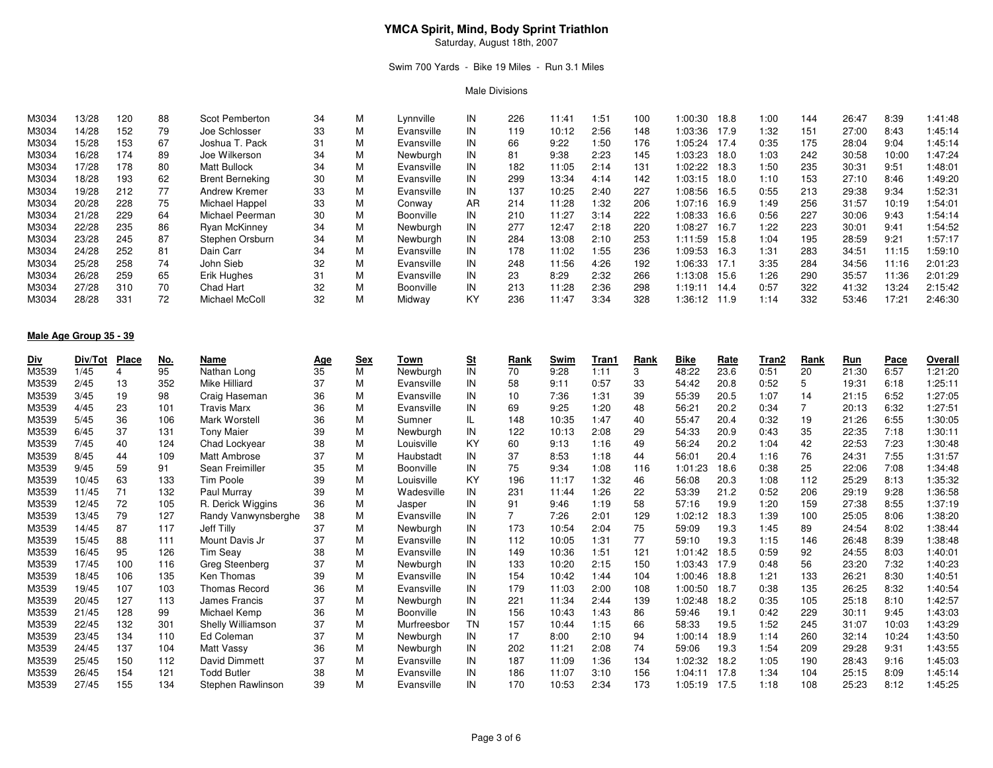# **YMCA Spirit, Mind, Body Sprint Triathlon** Saturday, August 18th, 2007

# Swim 700 Yards - Bike 19 Miles - Run 3.1 Miles

#### Male Divisions

| M3034 | 13/28 | 120 | 88 | Scot Pemberton         | 34 | М | Lynnville  | IN  | 226 | 11:41 | 1:51 | 100 | 1:00:30<br>18.8 | 1:00 | 144 | 26:47 | 8:39  | 1:41:48 |
|-------|-------|-----|----|------------------------|----|---|------------|-----|-----|-------|------|-----|-----------------|------|-----|-------|-------|---------|
| M3034 | 14/28 | 152 | 79 | Joe Schlosser          | 33 | м | Evansville | IN  | 119 | 10:12 | 2:56 | 148 | 1:03:36 17.9    | 1:32 | 151 | 27:00 | 8:43  | 1:45:14 |
| M3034 | 15/28 | 153 | 67 | Joshua T. Pack         | 31 | М | Evansville | IN  | 66  | 9:22  | 1:50 | 176 | 1:05:24 17.4    | 0:35 | 175 | 28:04 | 9:04  | 1:45:14 |
| M3034 | 16/28 | 174 | 89 | Joe Wilkerson          | 34 | М | Newburgh   | IN  | 81  | 9:38  | 2:23 | 145 | 1:03:23<br>18.0 | 1:03 | 242 | 30:58 | 10:00 | 1:47:24 |
| M3034 | 17/28 | 178 | 80 | <b>Matt Bullock</b>    | 34 | м | Evansville | IN. | 182 | 11:05 | 2:14 | 131 | 1:02:22<br>18.3 | 1:50 | 235 | 30:31 | 9:51  | 1:48:01 |
| M3034 | 18/28 | 193 | 62 | <b>Brent Berneking</b> | 30 | м | Evansville | IN  | 299 | 13:34 | 4:14 | 142 | 1:03:15<br>18.0 | 1:10 | 153 | 27:10 | 8:46  | 1:49:20 |
| M3034 | 19/28 | 212 | 77 | Andrew Kremer          | 33 | M | Evansville | IN  | 137 | 10:25 | 2:40 | 227 | 1:08:56<br>16.5 | 0:55 | 213 | 29:38 | 9:34  | 1:52:31 |
| M3034 | 20/28 | 228 | 75 | Michael Happel         | 33 | м | Conway     | AR  | 214 | 11:28 | 1:32 | 206 | 1:07:16<br>16.9 | 1:49 | 256 | 31:57 | 10:19 | 1:54:01 |
| M3034 | 21/28 | 229 | 64 | Michael Peerman        | 30 | М | Boonville  | ΙN  | 210 | 11:27 | 3:14 | 222 | 1:08:33<br>16.6 | 0:56 | 227 | 30:06 | 9:43  | 1:54:14 |
| M3034 | 22/28 | 235 | 86 | Rvan McKinnev          | 34 | м | Newburgh   | IN  | 277 | 12:47 | 2:18 | 220 | 1:08:27<br>16.7 | 1:22 | 223 | 30:01 | 9:41  | 1:54:52 |
| M3034 | 23/28 | 245 | 87 | Stephen Orsburn        | 34 | М | Newburgh   | IN  | 284 | 13:08 | 2:10 | 253 | 1:11:59<br>15.8 | 1:04 | 195 | 28:59 | 9:21  | 1:57:17 |
| M3034 | 24/28 | 252 | 81 | Dain Carr              | 34 | М | Evansville | IN. | 178 | 11:02 | 1:55 | 236 | 1:09:53<br>16.3 | 1:31 | 283 | 34:51 | 11:15 | 1:59:10 |
| M3034 | 25/28 | 258 | 74 | John Sieb              | 32 | м | Evansville | IN  | 248 | 11:56 | 4:26 | 192 | 1:06:33<br>17.1 | 3:35 | 284 | 34:56 | 11:16 | 2:01:23 |
| M3034 | 26/28 | 259 | 65 | Erik Hughes            | 31 | M | Evansville | IN  | 23  | 8:29  | 2:32 | 266 | 1:13:08<br>15.6 | 1:26 | 290 | 35:57 | 11:36 | 2:01:29 |
| M3034 | 27/28 | 310 | 70 | Chad Hart              | 32 | м | Boonville  | ΙN  | 213 | 11:28 | 2:36 | 298 | 1:19:11<br>14.4 | 0:57 | 322 | 41:32 | 13:24 | 2:15:42 |
| M3034 | 28/28 | 331 | 72 | Michael McColl         | 32 | м | Midway     | KY  | 236 | 11:47 | 3:34 | 328 | 1:36:12 11.9    | 1:14 | 332 | 53:46 | 17:21 | 2:46:30 |
|       |       |     |    |                        |    |   |            |     |     |       |      |     |                 |      |     |       |       |         |

#### **Male Age Group 35 - 39**

| <u>Div</u> | Div/Tot | Place | <u>No.</u> | Name                 | <u>Age</u> | <u>Sex</u> | Town             | <u>St</u> | Rank | Swim  | Tran1 | Rank | <u>Bike</u> | Rate | Tran2 | Rank | Run   | <b>Pace</b> | Overall |
|------------|---------|-------|------------|----------------------|------------|------------|------------------|-----------|------|-------|-------|------|-------------|------|-------|------|-------|-------------|---------|
| M3539      | 1/45    |       | 95         | Nathan Long          | 35         | М          | Newburgh         | IN        | 70   | 9:28  | 1:11  | 3    | 48:22       | 23.6 | 0:51  | 20   | 21:30 | 6:57        | 1:21:20 |
| M3539      | 2/45    | 13    | 352        | Mike Hilliard        | 37         | м          | Evansville       | IN        | 58   | 9:11  | 0:57  | 33   | 54:42       | 20.8 | 0:52  |      | 19:31 | 6:18        | 1:25:11 |
| M3539      | 3/45    | 19    | 98         | Craig Haseman        | 36         | м          | Evansville       | IN        | 10   | 7:36  | 1:31  | 39   | 55:39       | 20.5 | 1:07  | 14   | 21:15 | 6:52        | 1:27:05 |
| M3539      | 4/45    | 23    | 101        | <b>Travis Marx</b>   | 36         | м          | Evansville       | IN        | 69   | 9:25  | 1:20  | 48   | 56:21       | 20.2 | 0:34  |      | 20:13 | 6:32        | 1:27:51 |
| M3539      | 5/45    | 36    | 106        | Mark Worstell        | 36         | м          | Sumner           | IL.       | 148  | 10:35 | 1:47  | 40   | 55:47       | 20.4 | 0:32  | 19   | 21:26 | 6:55        | 1:30:05 |
| M3539      | 6/45    | 37    | 131        | <b>Tony Maier</b>    | 39         | М          | Newburgh         | IN        | 122  | 10:13 | 2:08  | 29   | 54:33       | 20.9 | 0:43  | 35   | 22:35 | 7:18        | 1:30:11 |
| M3539      | 7/45    | 40    | 124        | Chad Lockyear        | 38         | M          | Louisville       | KY        | 60   | 9:13  | 1:16  | 49   | 56:24       | 20.2 | 1:04  | 42   | 22:53 | 7:23        | 1:30:48 |
| M3539      | 8/45    | 44    | 109        | Matt Ambrose         | 37         | M          | Haubstadt        | IN        | 37   | 8:53  | 1:18  | 44   | 56:01       | 20.4 | 1:16  | 76   | 24:31 | 7:55        | 1:31:57 |
| M3539      | 9/45    | 59    | 91         | Sean Freimiller      | 35         | м          | <b>Boonville</b> | IN        | 75   | 9:34  | 1:08  | 116  | 1:01:23     | 18.6 | 0:38  | 25   | 22:06 | 7:08        | 1:34:48 |
| M3539      | 10/45   | 63    | 133        | Tim Poole            | 39         | M          | Louisville       | KY        | 196  | 11:17 | 1:32  | 46   | 56:08       | 20.3 | 1:08  | 112  | 25:29 | 8:13        | 1:35:32 |
| M3539      | 11/45   | 71    | 132        | Paul Murray          | 39         | М          | Wadesville       | IN        | 231  | 11:44 | 1:26  | 22   | 53:39       | 21.2 | 0:52  | 206  | 29:19 | 9:28        | 1:36:58 |
| M3539      | 12/45   | 72    | 105        | R. Derick Wiggins    | 36         | м          | Jasper           | IN        | 91   | 9:46  | 1:19  | 58   | 57:16       | 19.9 | 1:20  | 159  | 27:38 | 8:55        | 1:37:19 |
| M3539      | 13/45   | 79    | 127        | Randy Vanwynsberghe  | 38         | M          | Evansville       | IN        |      | 7:26  | 2:01  | 129  | 1:02:12     | 18.3 | 1:39  | 100  | 25:05 | 8:06        | 1:38:20 |
| M3539      | 14/45   | 87    | 117        | Jeff Tilly           | 37         | м          | Newburgh         | IN        | 173  | 10:54 | 2:04  | 75   | 59:09       | 19.3 | 1:45  | 89   | 24:54 | 8:02        | 1:38:44 |
| M3539      | 15/45   | 88    | 111        | Mount Davis Jr       | 37         | М          | Evansville       | IN        | 112  | 10:05 | 1:31  | 77   | 59:10       | 19.3 | 1:15  | 146  | 26:48 | 8:39        | 1:38:48 |
| M3539      | 16/45   | 95    | 126        | Tim Seay             | 38         | м          | Evansville       | IN        | 149  | 10:36 | 1:51  | 121  | 1:01:42     | 18.5 | 0:59  | 92   | 24:55 | 8:03        | 1:40:01 |
| M3539      | 17/45   | 100   | 116        | Greg Steenberg       | 37         | м          | Newburgh         | IN        | 133  | 10:20 | 2:15  | 150  | 1:03:43     | 17.9 | 0:48  | 56   | 23:20 | 7:32        | 1:40:23 |
| M3539      | 18/45   | 106   | 135        | Ken Thomas           | 39         | м          | Evansville       | IN        | 154  | 10:42 | 1:44  | 104  | 1:00:46     | 18.8 | 1:21  | 133  | 26:21 | 8:30        | 1:40:51 |
| M3539      | 19/45   | 107   | 103        | <b>Thomas Record</b> | 36         | м          | Evansville       | IN        | 179  | 11:03 | 2:00  | 108  | 1:00:50     | 18.7 | 0:38  | 135  | 26:25 | 8:32        | 1:40:54 |
| M3539      | 20/45   | 127   | 113        | James Francis        | 37         | M          | Newburgh         | IN        | 221  | 11:34 | 2:44  | 139  | 1:02:48     | 18.2 | 0:35  | 105  | 25:18 | 8:10        | 1:42:57 |
| M3539      | 21/45   | 128   | 99         | Michael Kemp         | 36         | м          | <b>Boonville</b> | IN        | 156  | 10:43 | 1:43  | 86   | 59:46       | 19.1 | 0:42  | 229  | 30:11 | 9:45        | 1:43:03 |
| M3539      | 22/45   | 132   | 301        | Shelly Williamson    | 37         | M          | Murfreesbor      | ΤN        | 157  | 10:44 | 1:15  | 66   | 58:33       | 19.5 | 1:52  | 245  | 31:07 | 10:03       | :43:29  |
| M3539      | 23/45   | 134   | 110        | Ed Coleman           | 37         | M          | Newburgh         | IN        | 17   | 8:00  | 2:10  | 94   | 1:00:14     | 18.9 | 1:14  | 260  | 32:14 | 10:24       | :43:50  |
| M3539      | 24/45   | 137   | 104        | Matt Vassy           | 36         | м          | Newburgh         | IN        | 202  | 11:21 | 2:08  | 74   | 59:06       | 19.3 | 1:54  | 209  | 29:28 | 9:31        | 1:43:55 |
| M3539      | 25/45   | 150   | 112        | David Dimmett        | 37         | м          | Evansville       | IN        | 187  | 11:09 | 1:36  | 134  | 1:02:32     | 18.2 | 1:05  | 190  | 28:43 | 9:16        | 1:45:03 |
| M3539      | 26/45   | 154   | 121        | <b>Todd Butler</b>   | 38         | M          | Evansville       | IN        | 186  | 11:07 | 3:10  | 156  | 1:04:11     | 17.8 | 1:34  | 104  | 25:15 | 8:09        | 1:45:14 |
| M3539      | 27/45   | 155   | 134        | Stephen Rawlinson    | 39         | м          | Evansville       | IN        | 170  | 10:53 | 2:34  | 173  | 1:05:19     | 17.5 | 1:18  | 108  | 25:23 | 8:12        | 1:45:25 |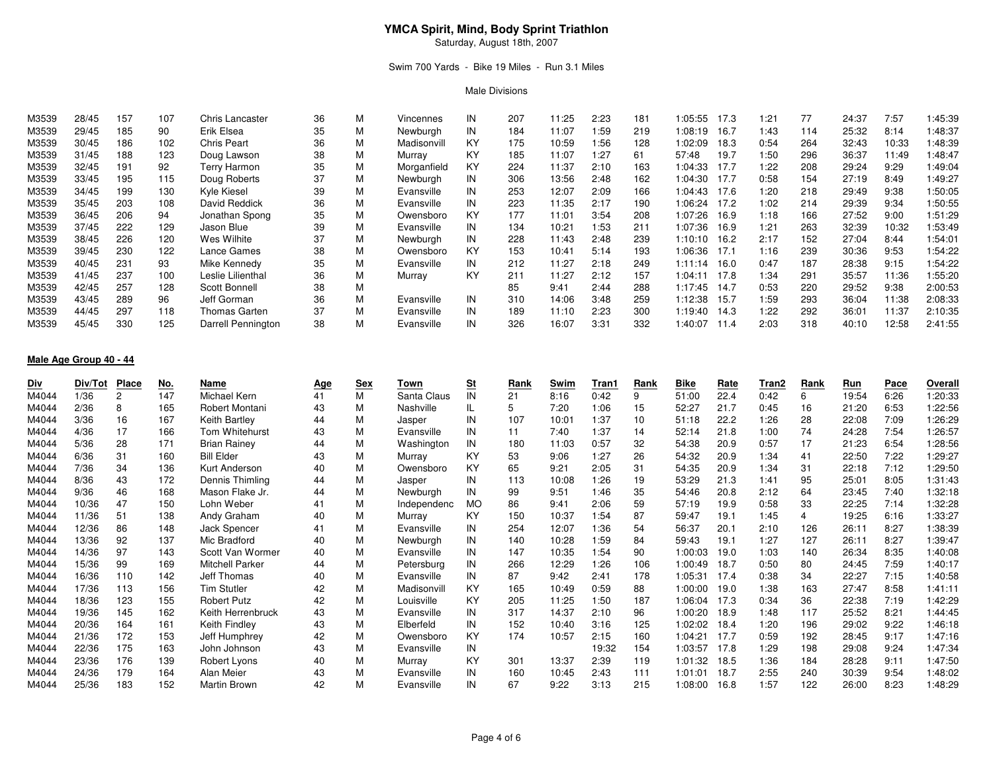# **YMCA Spirit, Mind, Body Sprint Triathlon** Saturday, August 18th, 2007

## Swim 700 Yards - Bike 19 Miles - Run 3.1 Miles

#### Male Divisions

| M3539 | 28/45 | 157 | 107 | Chris Lancaster    | 36 | м | Vincennes   | IN | 207 | 11:25 | 2:23 | 181 | 1:05:55<br>17.3   | 1:21 | 77  | 24:37 | 7:57  | 1:45:39 |
|-------|-------|-----|-----|--------------------|----|---|-------------|----|-----|-------|------|-----|-------------------|------|-----|-------|-------|---------|
| M3539 | 29/45 | 185 | 90  | Erik Elsea         | 35 | М | Newburgh    | IN | 184 | 11:07 | 1:59 | 219 | 1:08:19<br>16.7   | 1:43 | 114 | 25:32 | 8:14  | 1:48:37 |
| M3539 | 30/45 | 186 | 102 | Chris Peart        | 36 | М | Madisonvill | KY | 175 | 10:59 | 1:56 | 128 | 1:02:09<br>18.3   | 0:54 | 264 | 32:43 | 10:33 | 1:48:39 |
| M3539 | 31/45 | 188 | 123 | Doug Lawson        | 38 |   | Murray      | KY | 185 | 11:07 | 1:27 | 61  | 57:48<br>19.7     | 1:50 | 296 | 36:37 | 11:49 | 1:48:47 |
| M3539 | 32/45 | 191 | 92  | Terry Harmon       | 35 |   | Morganfield | KY | 224 | 11:37 | 2:10 | 163 | 1:04:33<br>17.7   | 1:22 | 208 | 29:24 | 9:29  | 1:49:04 |
| M3539 | 33/45 | 195 | 115 | Doug Roberts       | 37 | м | Newburgh    | IN | 306 | 13:56 | 2:48 | 162 | 1:04:30<br>17.7   | 0:58 | 154 | 27:19 | 8:49  | 1:49:27 |
| M3539 | 34/45 | 199 | 130 | Kyle Kiesel        | 39 | м | Evansville  | IN | 253 | 12:07 | 2:09 | 166 | 1:04:43<br>17.6   | 1:20 | 218 | 29:49 | 9:38  | 1:50:05 |
| M3539 | 35/45 | 203 | 108 | David Reddick      | 36 | М | Evansville  | IN | 223 | 11:35 | 2:17 | 190 | 1:06:24 17.2      | 1:02 | 214 | 29:39 | 9:34  | 1:50:55 |
| M3539 | 36/45 | 206 | 94  | Jonathan Spong     | 35 | М | Owensboro   | KY | 177 | 11:01 | 3:54 | 208 | 1:07:26<br>16.9   | 1:18 | 166 | 27:52 | 9:00  | 1:51:29 |
| M3539 | 37/45 | 222 | 129 | Jason Blue         | 39 | М | Evansville  | IN | 134 | 10:21 | 1:53 | 211 | 1:07:36<br>16.9   | 1:21 | 263 | 32:39 | 10:32 | 1:53:49 |
| M3539 | 38/45 | 226 | 120 | Wes Wilhite        | 37 | М | Newburgh    | IN | 228 | 11:43 | 2:48 | 239 | 1:10:10<br>16.2   | 2:17 | 152 | 27:04 | 8:44  | 1:54:01 |
| M3539 | 39/45 | 230 | 122 | Lance Games        | 38 | М | Owensboro   | KY | 153 | 10:41 | 5:14 | 193 | 1:06:36 17.1      | 1:16 | 239 | 30:36 | 9:53  | 1:54:22 |
| M3539 | 40/45 | 231 | 93  | Mike Kennedv       | 35 | м | Evansville  | IN | 212 | 11:27 | 2:18 | 249 | 16.0<br>1:11:14   | 0:47 | 187 | 28:38 | 9:15  | 1:54:22 |
| M3539 | 41/45 | 237 | 100 | Leslie Lilienthal  | 36 | М | Murray      | KY | 211 | 11:27 | 2:12 | 157 | 1:04:11<br>17.8   | 1:34 | 291 | 35:57 | 11:36 | 1:55:20 |
| M3539 | 42/45 | 257 | 128 | Scott Bonnell      | 38 | М |             |    | 85  | 9:41  | 2:44 | 288 | 1:17:45<br>14.7   | 0:53 | 220 | 29:52 | 9:38  | 2:00:53 |
| M3539 | 43/45 | 289 | 96  | Jeff Gorman        | 36 | м | Evansville  | IN | 310 | 14:06 | 3:48 | 259 | 1:12:38<br>15.7   | 1:59 | 293 | 36:04 | 11:38 | 2:08:33 |
| M3539 | 44/45 | 297 | 118 | Thomas Garten      | 37 | М | Evansville  | IN | 189 | 11:10 | 2:23 | 300 | 1:19:40<br>14.3   | 1:22 | 292 | 36:01 | 11:37 | 2:10:35 |
| M3539 | 45/45 | 330 | 125 | Darrell Pennington | 38 |   | Evansville  | IN | 326 | 16:07 | 3:31 | 332 | 1:40:07<br>- 11.4 | 2:03 | 318 | 40:10 | 12:58 | 2:41:55 |

#### **Male Age Group 40 - 44**

| <u>Div</u> | Div/Tot | Place          | <u>No.</u> | Name                   | <u>Age</u> | <u>Sex</u> | Town        | S <sub>t</sub> | Rank | Swim  | Tran1 | Rank | <u>Bike</u> | <b>Rate</b> | Tran2 | Rank | <u>Run</u> | <b>Pace</b> | Overall |
|------------|---------|----------------|------------|------------------------|------------|------------|-------------|----------------|------|-------|-------|------|-------------|-------------|-------|------|------------|-------------|---------|
| M4044      | 1/36    | $\overline{2}$ | 147        | Michael Kern           | 41         | м          | Santa Claus | IN             | 21   | 8:16  | 0:42  |      | 51:00       | 22.4        | 0:42  | 6    | 19:54      | 6:26        | 1:20:33 |
| M4044      | 2/36    | 8              | 165        | Robert Montani         | 43         | м          | Nashville   |                | 5    | 7:20  | 1:06  | 15   | 52:27       | 21.7        | 0:45  | 16   | 21:20      | 6:53        | 1:22:56 |
| M4044      | 3/36    | 16             | 167        | Keith Bartley          | 44         | M          | Jasper      | IN             | 107  | 10:01 | 1:37  | 10   | 51:18       | 22.2        | 1:26  | 28   | 22:08      | 7:09        | 1:26:29 |
| M4044      | 4/36    | 17             | 166        | Tom Whitehurst         | 43         | M          | Evansville  | IN             | 11   | 7:40  | 1:37  | 14   | 52:14       | 21.8        | 1:00  | 74   | 24:28      | 7:54        | 1:26:57 |
| M4044      | 5/36    | 28             | 171        | <b>Brian Rainey</b>    | 44         | M          | Washington  | IN             | 180  | 11:03 | 0:57  | 32   | 54:38       | 20.9        | 0:57  | 17   | 21:23      | 6:54        | 1:28:56 |
| M4044      | 6/36    | 31             | 160        | <b>Bill Elder</b>      | 43         | М          | Murray      | KY             | 53   | 9:06  | 1:27  | 26   | 54:32       | 20.9        | 1:34  | 41   | 22:50      | 7:22        | 1:29:27 |
| M4044      | 7/36    | 34             | 136        | Kurt Anderson          | 40         | м          | Owensboro   | KY             | 65   | 9:21  | 2:05  | 31   | 54:35       | 20.9        | 1:34  | 31   | 22:18      | 7:12        | 1:29:50 |
| M4044      | 8/36    | 43             | 172        | Dennis Thimling        | 44         | М          | Jasper      | IN             | 113  | 10:08 | 1:26  | 19   | 53:29       | 21.3        | 1:41  | 95   | 25:01      | 8:05        | 1:31:43 |
| M4044      | 9/36    | 46             | 168        | Mason Flake Jr.        | 44         | M          | Newburgh    | IN             | 99   | 9:51  | 1:46  | 35   | 54:46       | 20.8        | 2:12  | 64   | 23:45      | 7:40        | 1:32:18 |
| M4044      | 10/36   | 47             | 150        | Lohn Weber             | 41         | M          | Independenc | MO             | 86   | 9:41  | 2:06  | 59   | 57:19       | 19.9        | 0:58  | 33   | 22:25      | 7:14        | 1:32:28 |
| M4044      | 11/36   | 51             | 138        | Andy Graham            | 40         | М          | Murray      | KY             | 150  | 10:37 | 1:54  | 87   | 59:47       | 19.1        | 1:45  |      | 19:25      | 6:16        | 1:33:27 |
| M4044      | 12/36   | 86             | 148        | Jack Spencer           | 41         | М          | Evansville  | IN             | 254  | 12:07 | 1:36  | 54   | 56:37       | 20.1        | 2:10  | 126  | 26:11      | 8:27        | 1:38:39 |
| M4044      | 13/36   | 92             | 137        | Mic Bradford           | 40         | M          | Newburgh    | IN             | 140  | 10:28 | 1:59  | 84   | 59:43       | 19.1        | 1:27  | 127  | 26:11      | 8:27        | 1:39:47 |
| M4044      | 14/36   | 97             | 143        | Scott Van Wormer       | 40         | м          | Evansville  | IN             | 147  | 10:35 | 1:54  | 90   | 1:00:03     | 19.0        | 1:03  | 140  | 26:34      | 8:35        | 1:40:08 |
| M4044      | 15/36   | 99             | 169        | <b>Mitchell Parker</b> | 44         | М          | Petersburg  | IN             | 266  | 12:29 | 1:26  | 106  | 1:00:49     | 18.7        | 0:50  | 80   | 24:45      | 7:59        | 1:40:17 |
| M4044      | 16/36   | 110            | 142        | Jeff Thomas            | 40         | M          | Evansville  | IN             | 87   | 9:42  | 2:41  | 178  | 1:05:31     | 17.4        | 0:38  | 34   | 22:27      | 7:15        | 1:40:58 |
| M4044      | 17/36   | 113            | 156        | <b>Tim Stutler</b>     | 42         | M          | Madisonvill | KY             | 165  | 10:49 | 0:59  | 88   | 1:00:00     | 19.0        | 1:38  | 163  | 27:47      | 8:58        | 1:41:11 |
| M4044      | 18/36   | 123            | 155        | <b>Robert Putz</b>     | 42         | М          | Louisville  | KY             | 205  | 11:25 | 1:50  | 187  | 1:06:04     | 17.3        | 0:34  | 36   | 22:38      | 7:19        | 1:42:29 |
| M4044      | 19/36   | 145            | 162        | Keith Herrenbruck      | 43         | M          | Evansville  | IN             | 317  | 14:37 | 2:10  | 96   | 1:00:20     | 18.9        | 1:48  | 117  | 25:52      | 8:21        | 1:44:45 |
| M4044      | 20/36   | 164            | 161        | Keith Findley          | 43         | M          | Elberfeld   | IN             | 152  | 10:40 | 3:16  | 125  | 1:02:02     | 18.4        | 1:20  | 196  | 29:02      | 9:22        | 1:46:18 |
| M4044      | 21/36   | 172            | 153        | Jeff Humphrey          | 42         | M          | Owensboro   | KY             | 174  | 10:57 | 2:15  | 160  | 1:04:21     | 17.7        | 0:59  | 192  | 28:45      | 9:17        | 1:47:16 |
| M4044      | 22/36   | 175            | 163        | John Johnson           | 43         | M          | Evansville  | IN             |      |       | 19:32 | 154  | 1:03:57     | 17.8        | 1:29  | 198  | 29:08      | 9:24        | 1:47:34 |
| M4044      | 23/36   | 176            | 139        | Robert Lyons           | 40         | М          | Murray      | KY             | 301  | 13:37 | 2:39  | 119  | 1:01:32     | 18.5        | 1:36  | 184  | 28:28      | 9:11        | 1:47:50 |
| M4044      | 24/36   | 179            | 164        | Alan Meier             | 43         | М          | Evansville  | IN             | 160  | 10:45 | 2:43  | 111  | 1:01:01     | 18.7        | 2:55  | 240  | 30:39      | 9:54        | 1:48:02 |
| M4044      | 25/36   | 183            | 152        | Martin Brown           | 42         | м          | Evansville  | IN             | 67   | 9:22  | 3:13  | 215  | 1:08:00     | 16.8        | 1:57  | 122  | 26:00      | 8:23        | :48:29  |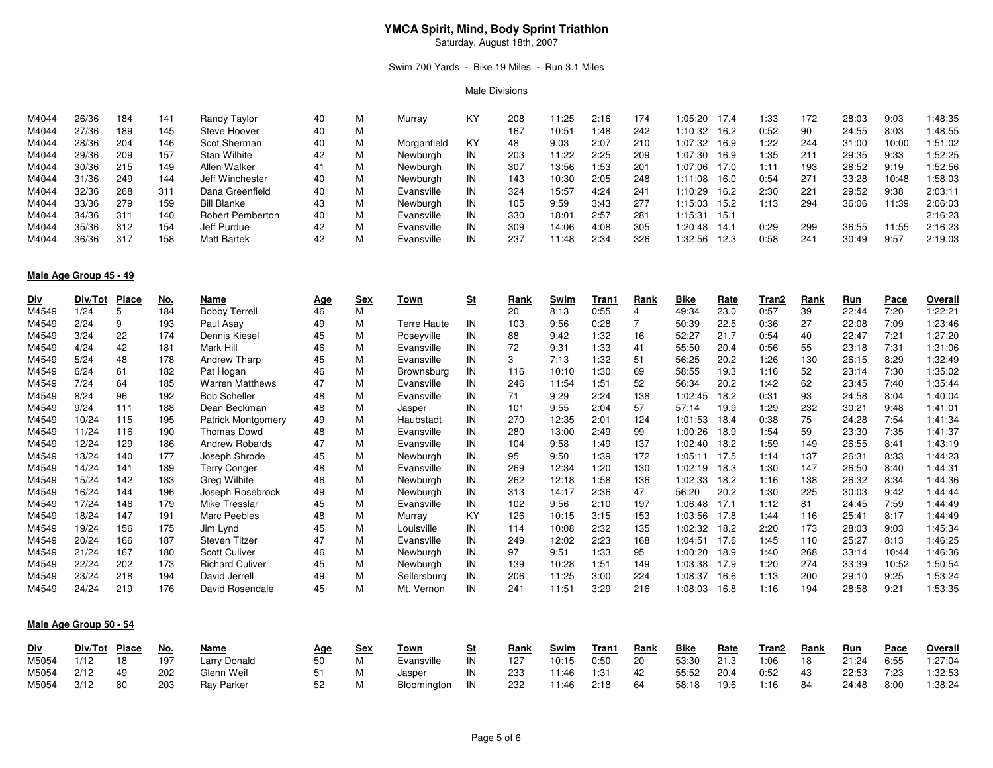# **YMCA Spirit, Mind, Body Sprint Triathlon** Saturday, August 18th, 2007

# Swim 700 Yards - Bike 19 Miles - Run 3.1 Miles

#### Male Divisions

| M4044 | 26/36 | 184 | 141 | Randy Taylor            | 40 | м | Murray      | KY | 208 | 11:25 | 2:16  | 174 | l:05:20 | 17.4  | 1:33 | 172 | 28:03 | 9:03  | 1:48:35 |
|-------|-------|-----|-----|-------------------------|----|---|-------------|----|-----|-------|-------|-----|---------|-------|------|-----|-------|-------|---------|
|       |       |     |     |                         |    |   |             |    |     |       |       |     |         |       |      |     |       |       |         |
| M4044 | 27/36 | 189 | 145 | Steve Hoover            | 40 | м |             |    | 167 | 10:51 | 48: ا | 242 | l:10:32 | 16.2  | 0:52 | 90  | 24:55 | 8:03  | 1:48:55 |
| M4044 | 28/36 | 204 | 146 | Scot Sherman            | 40 | м | Morganfield | KY | 48  | 9:03  | 2:07  | 210 | 1:07:32 | 16.9  | 1:22 | 244 | 31:00 | 10:00 | 1:51:02 |
| M4044 | 29/36 | 209 | 157 | Stan Wilhite            | 42 | M | Newburgh    | IN | 203 | 11:22 | 2:25  | 209 | 1:07:30 | 16.9  | 1:35 | 211 | 29:35 | 9:33  | 1:52:25 |
| M4044 | 30/36 | 215 | 149 | Allen Walker            | 41 | M | Newburgh    | IN | 307 | 13:56 | 1:53  | 201 | 1:07:06 | 17.0  | 1:11 | 193 | 28:52 | 9:19  | :52:56  |
| M4044 | 31/36 | 249 | 144 | Jeff Winchester         | 40 |   | Newburgh    | IN | 143 | 10:30 | 2:05  | 248 | 1:11:08 | 16.0  | 0:54 | 271 | 33:28 | 10:48 | :58:03  |
| M4044 | 32/36 | 268 | 311 | Dana Greenfield         | 40 | м | Evansville  | IN | 324 | 15:57 | 4:24  | 241 | 1:10:29 | 16.2  | 2:30 | 221 | 29:52 | 9:38  | 2:03:11 |
| M4044 | 33/36 | 279 | 159 | <b>Bill Blanke</b>      | 43 | м | Newburgh    | IN | 105 | 9:59  | 3:43  | 277 | 1:15:03 | 15.2  | 1:13 | 294 | 36:06 | 11:39 | 2:06:03 |
| M4044 | 34/36 | 311 | 140 | <b>Robert Pemberton</b> | 40 | м | Evansville  | IN | 330 | 18:01 | 2:57  | 281 | 1:15:31 | -15.1 |      |     |       |       | 2:16:23 |
| M4044 | 35/36 | 312 | 154 | Jeff Purdue             | 42 | м | Evansville  | IN | 309 | 14:06 | 4:08  | 305 | :20:48  | 14.1  | 0:29 | 299 | 36:55 | 11:55 | 2:16:23 |
| M4044 | 36/36 | 317 | 158 | Matt Bartek             | 42 | м | Evansville  | IN | 237 | 11:48 | 2:34  | 326 | 1:32:56 | 12.3  | 0:58 | 241 | 30:49 | 9:57  | 2:19:03 |

## **Male Age Group 45 - 49**

| <u>Div</u> | Div/Tot                | Place | <u>No.</u> | Name                   | <u>Age</u> | <b>Sex</b> | Town               | S <sub>t</sub> | Rank | Swim  | Tran1 | Rank | <b>Bike</b> | <b>Rate</b> | Tran2 | Rank | <b>Run</b> | Pace  | Overall |
|------------|------------------------|-------|------------|------------------------|------------|------------|--------------------|----------------|------|-------|-------|------|-------------|-------------|-------|------|------------|-------|---------|
| M4549      | 1/24                   |       | 184        | <b>Bobby Terrell</b>   | 46         | М          |                    |                | 20   | 8:13  | 0:55  |      | 49:34       | 23.0        | 0:57  | 39   | 22:44      | 7:20  | 1:22:21 |
| M4549      | 2/24                   | 9     | 193        | Paul Asay              | 49         | М          | <b>Terre Haute</b> | IN             | 103  | 9:56  | 0:28  |      | 50:39       | 22.5        | 0:36  | 27   | 22:08      | 7:09  | 1:23:46 |
| M4549      | 3/24                   | 22    | 174        | Dennis Kiesel          | 45         | М          | Poseyville         | IN             | 88   | 9:42  | 1:32  | 16   | 52:27       | 21.7        | 0:54  | 40   | 22:47      | 7:21  | 1:27:20 |
| M4549      | 4/24                   | 42    | 181        | Mark Hill              | 46         | М          | Evansville         | IN             | 72   | 9:31  | 1:33  | 41   | 55:50       | 20.4        | 0:56  | 55   | 23:18      | 7:31  | 1:31:06 |
| M4549      | 5/24                   | 48    | 178        | Andrew Tharp           | 45         | М          | Evansville         | IN             | 3    | 7:13  | 1:32  | 51   | 56:25       | 20.2        | 1:26  | 130  | 26:15      | 8:29  | 1:32:49 |
| M4549      | 6/24                   | 61    | 182        | Pat Hogan              | 46         | М          | Brownsburg         | IN             | 116  | 10:10 | 1:30  | 69   | 58:55       | 19.3        | 1:16  | 52   | 23:14      | 7:30  | 1:35:02 |
| M4549      | 7/24                   | 64    | 185        | <b>Warren Matthews</b> | 47         | М          | Evansville         | IN             | 246  | 11:54 | 1:51  | 52   | 56:34       | 20.2        | 1:42  | 62   | 23:45      | 7:40  | 1:35:44 |
| M4549      | 8/24                   | 96    | 192        | <b>Bob Scheller</b>    | 48         | М          | Evansville         | IN             | 71   | 9:29  | 2:24  | 138  | 1:02:45     | 18.2        | 0:31  | 93   | 24:58      | 8:04  | 1:40:04 |
| M4549      | 9/24                   | 111   | 188        | Dean Beckman           | 48         | М          | Jasper             | IN             | 101  | 9:55  | 2:04  | 57   | 57:14       | 19.9        | 1:29  | 232  | 30:21      | 9:48  | 1:41:01 |
| M4549      | 10/24                  | 115   | 195        | Patrick Montgomery     | 49         | М          | Haubstadt          | IN             | 270  | 12:35 | 2:01  | 124  | 1:01:53     | 18.4        | 0:38  | 75   | 24:28      | 7:54  | 1:41:34 |
| M4549      | 11/24                  | 116   | 190        | <b>Thomas Dowd</b>     | 48         | М          | Evansville         | IN             | 280  | 13:00 | 2:49  | 99   | 1:00:26     | 18.9        | 1:54  | 59   | 23:30      | 7:35  | 1:41:37 |
| M4549      | 12/24                  | 129   | 186        | Andrew Robards         | 47         | М          | Evansville         | IN             | 104  | 9:58  | 1:49  | 137  | 1:02:40     | 18.2        | 1:59  | 149  | 26:55      | 8:41  | 1:43:19 |
| M4549      | 13/24                  | 140   | 177        | Joseph Shrode          | 45         | М          | Newburgh           | IN             | 95   | 9:50  | 1:39  | 172  | 1:05:11     | 17.5        | 1:14  | 137  | 26:31      | 8:33  | 1:44:23 |
| M4549      | 14/24                  | 141   | 189        | <b>Terry Conger</b>    | 48         | М          | Evansville         | IN             | 269  | 12:34 | 1:20  | 130  | 1:02:19     | 18.3        | 1:30  | 147  | 26:50      | 8:40  | 1:44:31 |
| M4549      | 15/24                  | 142   | 183        | Greg Wilhite           | 46         | M          | Newburgh           | IN             | 262  | 12:18 | 1:58  | 136  | 1:02:33     | 18.2        | 1:16  | 138  | 26:32      | 8:34  | 1:44:36 |
| M4549      | 16/24                  | 144   | 196        | Joseph Rosebrock       | 49         | М          | Newburgh           | IN             | 313  | 14:17 | 2:36  | 47   | 56:20       | 20.2        | 1:30  | 225  | 30:03      | 9:42  | 1:44:44 |
| M4549      | 17/24                  | 146   | 179        | Mike Tresslar          | 45         | М          | Evansville         | IN             | 102  | 9:56  | 2:10  | 197  | 1:06:48     | 17.1        | 1:12  | 81   | 24:45      | 7:59  | 1:44:49 |
| M4549      | 18/24                  | 147   | 191        | Marc Peebles           | 48         | М          | Murray             | KY             | 126  | 10:15 | 3:15  | 153  | 1:03:56     | 17.8        | 1:44  | 116  | 25:41      | 8:17  | 1:44:49 |
| M4549      | 19/24                  | 156   | 175        | Jim Lynd               | 45         | М          | Louisville         | IN             | 114  | 10:08 | 2:32  | 135  | 1:02:32     | 18.2        | 2:20  | 173  | 28:03      | 9:03  | 1:45:34 |
| M4549      | 20/24                  | 166   | 187        | Steven Titzer          | 47         | М          | Evansville         | IN             | 249  | 12:02 | 2:23  | 168  | 1:04:51     | 17.6        | 1:45  | 110  | 25:27      | 8:13  | 1:46:25 |
| M4549      | 21/24                  | 167   | 180        | <b>Scott Culiver</b>   | 46         | М          | Newburgh           | IN             | 97   | 9:51  | 1:33  | 95   | 1:00:20     | 18.9        | 1:40  | 268  | 33:14      | 10:44 | 1:46:36 |
| M4549      | 22/24                  | 202   | 173        | <b>Richard Culiver</b> | 45         | м          | Newburgh           | IN             | 139  | 10:28 | 1:51  | 149  | 1:03:38     | 17.9        | 1:20  | 274  | 33:39      | 10:52 | 1:50:54 |
| M4549      | 23/24                  | 218   | 194        | David Jerrell          | 49         | м          | Sellersburg        | IN             | 206  | 11:25 | 3:00  | 224  | 1:08:37     | 16.6        | 1:13  | 200  | 29:10      | 9:25  | 1:53:24 |
| M4549      | 24/24                  | 219   | 176        | David Rosendale        | 45         | М          | Mt. Vernon         | IN             | 241  | 11:51 | 3:29  | 216  | 1:08:03     | 16.8        | 1:16  | 194  | 28:58      | 9:21  | 1:53:35 |
|            |                        |       |            |                        |            |            |                    |                |      |       |       |      |             |             |       |      |            |       |         |
|            | Male Age Group 50 - 54 |       |            |                        |            |            |                    |                |      |       |       |      |             |             |       |      |            |       |         |

| <u>Div</u> | Div/Tot Place |      | No. | Name              | Aae | Sex | Town        |    | <u>Rank</u> | Swim  | Tran1 | Rank | Bike  | Rate | Tran2 | Rank | Run   | Pace | <b>Overall</b> |
|------------|---------------|------|-----|-------------------|-----|-----|-------------|----|-------------|-------|-------|------|-------|------|-------|------|-------|------|----------------|
| M5054      | 1/12          | - 18 | 197 | Larry Donald      |     |     | Evansville  | IN | 127         | 10:15 | 0:50  | 20   | 53:30 | 21.3 | 1:06  | -18  | 21:24 | 6:55 | 1:27:04        |
| M5054      | 2/12          | 49   | 202 | Glenn Weil        |     |     | Jasper      |    | 233         | 11:46 | 1:31  |      | 55:52 | 20.4 | 0:52  | -43  | 22:53 | 7:23 | 1:32:53        |
| M5054      | 3/12          | -80  | 203 | <b>Ray Parker</b> |     |     | Bloomington | IN | 232         | 11:46 | 2:18  |      | 58:18 | 19.6 | 1:16  | - 84 | 24:48 | 8:00 | 1:38:24        |